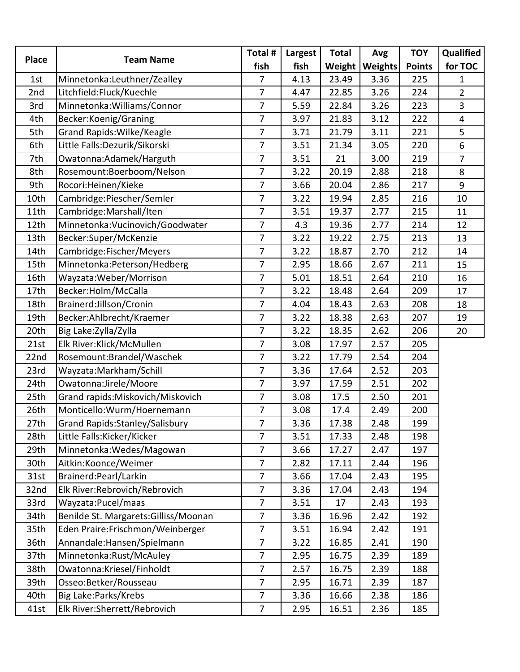| <b>Place</b> | <b>Team Name</b>                      | Total #        | Largest | <b>Total</b> | Avg     | <b>TOY</b>    | Qualified               |
|--------------|---------------------------------------|----------------|---------|--------------|---------|---------------|-------------------------|
|              |                                       | fish           | fish    | Weight       | Weights | <b>Points</b> | for TOC                 |
| 1st          | Minnetonka:Leuthner/Zealley           | 7              | 4.13    | 23.49        | 3.36    | 225           | $\mathbf{1}$            |
| 2nd          | Litchfield:Fluck/Kuechle              | 7              | 4.47    | 22.85        | 3.26    | 224           | $\overline{2}$          |
| 3rd          | Minnetonka: Williams/Connor           | 7              | 5.59    | 22.84        | 3.26    | 223           | $\overline{3}$          |
| 4th          | Becker:Koenig/Graning                 | $\overline{7}$ | 3.97    | 21.83        | 3.12    | 222           | $\overline{\mathbf{4}}$ |
| 5th          | Grand Rapids: Wilke/Keagle            | $\overline{7}$ | 3.71    | 21.79        | 3.11    | 221           | 5                       |
| 6th          | Little Falls: Dezurik/Sikorski        | 7              | 3.51    | 21.34        | 3.05    | 220           | 6                       |
| 7th          | Owatonna: Adamek/Harguth              | 7              | 3.51    | 21           | 3.00    | 219           | $\overline{7}$          |
| 8th          | Rosemount:Boerboom/Nelson             | 7              | 3.22    | 20.19        | 2.88    | 218           | 8                       |
| 9th          | Rocori: Heinen/Kieke                  | $\overline{7}$ | 3.66    | 20.04        | 2.86    | 217           | 9                       |
| 10th         | Cambridge:Piescher/Semler             | $\overline{7}$ | 3.22    | 19.94        | 2.85    | 216           | 10                      |
| 11th         | Cambridge: Marshall/Iten              | 7              | 3.51    | 19.37        | 2.77    | 215           | 11                      |
| 12th         | Minnetonka: Vucinovich/Goodwater      | 7              | 4.3     | 19.36        | 2.77    | 214           | 12                      |
| 13th         | Becker:Super/McKenzie                 | $\overline{7}$ | 3.22    | 19.22        | 2.75    | 213           | 13                      |
| 14th         | Cambridge:Fischer/Meyers              | $\overline{7}$ | 3.22    | 18.87        | 2.70    | 212           | 14                      |
| 15th         | Minnetonka: Peterson/Hedberg          | 7              | 2.95    | 18.66        | 2.67    | 211           | 15                      |
| 16th         | Wayzata: Weber/Morrison               | $\overline{7}$ | 5.01    | 18.51        | 2.64    | 210           | 16                      |
| 17th         | Becker:Holm/McCalla                   | 7              | 3.22    | 18.48        | 2.64    | 209           | 17                      |
| 18th         | Brainerd:Jillson/Cronin               | 7              | 4.04    | 18.43        | 2.63    | 208           | 18                      |
| 19th         | Becker:Ahlbrecht/Kraemer              | $\overline{7}$ | 3.22    | 18.38        | 2.63    | 207           | 19                      |
| 20th         | Big Lake: Zylla/Zylla                 | $\overline{7}$ | 3.22    | 18.35        | 2.62    | 206           | 20                      |
| 21st         | Elk River: Klick/McMullen             | $\overline{7}$ | 3.08    | 17.97        | 2.57    | 205           |                         |
| 22nd         | Rosemount:Brandel/Waschek             | 7              | 3.22    | 17.79        | 2.54    | 204           |                         |
| 23rd         | Wayzata: Markham/Schill               | 7              | 3.36    | 17.64        | 2.52    | 203           |                         |
| 24th         | Owatonna: Jirele/Moore                | $\overline{7}$ | 3.97    | 17.59        | 2.51    | 202           |                         |
| 25th         | Grand rapids: Miskovich/Miskovich     | $\overline{7}$ | 3.08    | 17.5         | 2.50    | 201           |                         |
| 26th         | Monticello: Wurm/Hoernemann           | 7              | 3.08    | 17.4         | 2.49    | 200           |                         |
| 27th         | Grand Rapids: Stanley/Salisbury       | 7              | 3.36    | 17.38        | 2.48    | 199           |                         |
| 28th         | Little Falls: Kicker/Kicker           | $\overline{7}$ | 3.51    | 17.33        | 2.48    | 198           |                         |
| 29th         | Minnetonka: Wedes/Magowan             | $\overline{7}$ | 3.66    | 17.27        | 2.47    | 197           |                         |
| 30th         | Aitkin:Koonce/Weimer                  | $\overline{7}$ | 2.82    | 17.11        | 2.44    | 196           |                         |
| 31st         | Brainerd: Pearl/Larkin                | $\overline{7}$ | 3.66    | 17.04        | 2.43    | 195           |                         |
| 32nd         | Elk River: Rebrovich/Rebrovich        | 7              | 3.36    | 17.04        | 2.43    | 194           |                         |
| 33rd         | Wayzata: Pucel/maas                   | 7              | 3.51    | 17           | 2.43    | 193           |                         |
| 34th         | Benilde St. Margarets: Gilliss/Moonan | $\overline{7}$ | 3.36    | 16.96        | 2.42    | 192           |                         |
| 35th         | Eden Praire: Frischmon/Weinberger     | $\overline{7}$ | 3.51    | 16.94        | 2.42    | 191           |                         |
| 36th         | Annandale: Hansen/Spielmann           | $\overline{7}$ | 3.22    | 16.85        | 2.41    | 190           |                         |
| 37th         | Minnetonka:Rust/McAuley               | 7              | 2.95    | 16.75        | 2.39    | 189           |                         |
| 38th         | Owatonna:Kriesel/Finholdt             | $\overline{7}$ | 2.57    | 16.75        | 2.39    | 188           |                         |
| 39th         | Osseo: Betker/Rousseau                | $\overline{7}$ | 2.95    | 16.71        | 2.39    | 187           |                         |
| 40th         | Big Lake: Parks/Krebs                 | $\overline{7}$ | 3.36    | 16.66        | 2.38    | 186           |                         |
| 41st         | Elk River:Sherrett/Rebrovich          | $\overline{7}$ | 2.95    | 16.51        | 2.36    | 185           |                         |
|              |                                       |                |         |              |         |               |                         |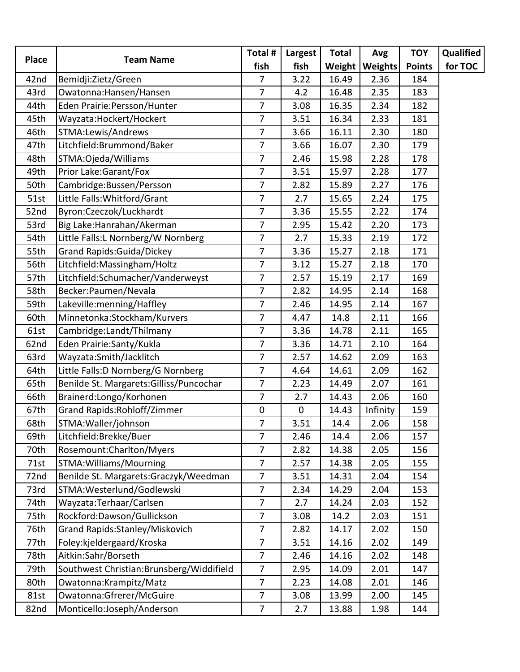| <b>Team Name</b><br>Bemidji:Zietz/Green<br>Owatonna: Hansen/Hansen<br>Eden Prairie: Persson/Hunter<br>Wayzata: Hockert/Hockert<br>STMA:Lewis/Andrews<br>Litchfield:Brummond/Baker<br>STMA: Ojeda/Williams<br>Prior Lake: Garant/Fox | fish<br>7<br>7<br>$\overline{7}$<br>7<br>7<br>$\overline{7}$                                              | fish<br>3.22<br>4.2<br>3.08<br>3.51<br>3.66 | Weight<br>16.49<br>16.48<br>16.35 | Weights<br>2.36<br>2.35 | <b>Points</b><br>184 | for TOC                                                                     |
|-------------------------------------------------------------------------------------------------------------------------------------------------------------------------------------------------------------------------------------|-----------------------------------------------------------------------------------------------------------|---------------------------------------------|-----------------------------------|-------------------------|----------------------|-----------------------------------------------------------------------------|
|                                                                                                                                                                                                                                     |                                                                                                           |                                             |                                   |                         |                      |                                                                             |
|                                                                                                                                                                                                                                     |                                                                                                           |                                             |                                   |                         |                      |                                                                             |
|                                                                                                                                                                                                                                     |                                                                                                           |                                             |                                   |                         | 183                  |                                                                             |
|                                                                                                                                                                                                                                     |                                                                                                           |                                             |                                   | 2.34                    | 182                  |                                                                             |
|                                                                                                                                                                                                                                     |                                                                                                           |                                             | 16.34                             | 2.33                    | 181                  |                                                                             |
|                                                                                                                                                                                                                                     |                                                                                                           |                                             | 16.11                             | 2.30                    | 180                  |                                                                             |
|                                                                                                                                                                                                                                     |                                                                                                           | 3.66                                        | 16.07                             | 2.30                    | 179                  |                                                                             |
|                                                                                                                                                                                                                                     | $\overline{7}$                                                                                            | 2.46                                        | 15.98                             | 2.28                    | 178                  |                                                                             |
|                                                                                                                                                                                                                                     | $\overline{7}$                                                                                            | 3.51                                        | 15.97                             | 2.28                    | 177                  |                                                                             |
| Cambridge:Bussen/Persson                                                                                                                                                                                                            | $\overline{7}$                                                                                            | 2.82                                        | 15.89                             | 2.27                    | 176                  |                                                                             |
| Little Falls: Whitford/Grant                                                                                                                                                                                                        | $\overline{7}$                                                                                            | 2.7                                         | 15.65                             | 2.24                    | 175                  |                                                                             |
| Byron:Czeczok/Luckhardt                                                                                                                                                                                                             | $\overline{7}$                                                                                            | 3.36                                        | 15.55                             | 2.22                    | 174                  |                                                                             |
| Big Lake: Hanrahan/Akerman                                                                                                                                                                                                          | $\overline{7}$                                                                                            | 2.95                                        | 15.42                             | 2.20                    | 173                  |                                                                             |
| Little Falls:L Nornberg/W Nornberg                                                                                                                                                                                                  | 7                                                                                                         | 2.7                                         | 15.33                             | 2.19                    | 172                  |                                                                             |
| <b>Grand Rapids: Guida/Dickey</b>                                                                                                                                                                                                   | $\overline{7}$                                                                                            | 3.36                                        | 15.27                             | 2.18                    | 171                  |                                                                             |
| Litchfield: Massingham/Holtz                                                                                                                                                                                                        | $\overline{7}$                                                                                            | 3.12                                        | 15.27                             | 2.18                    | 170                  |                                                                             |
| Litchfield:Schumacher/Vanderweyst                                                                                                                                                                                                   | $\overline{7}$                                                                                            | 2.57                                        | 15.19                             | 2.17                    | 169                  |                                                                             |
| Becker: Paumen/Nevala                                                                                                                                                                                                               | $\overline{7}$                                                                                            | 2.82                                        | 14.95                             | 2.14                    | 168                  |                                                                             |
| Lakeville:menning/Haffley                                                                                                                                                                                                           | $\overline{7}$                                                                                            | 2.46                                        | 14.95                             | 2.14                    | 167                  |                                                                             |
| Minnetonka:Stockham/Kurvers                                                                                                                                                                                                         | $\overline{7}$                                                                                            | 4.47                                        | 14.8                              | 2.11                    | 166                  |                                                                             |
| Cambridge:Landt/Thilmany                                                                                                                                                                                                            | $\overline{7}$                                                                                            | 3.36                                        | 14.78                             | 2.11                    | 165                  |                                                                             |
| Eden Prairie: Santy/Kukla                                                                                                                                                                                                           | $\overline{7}$                                                                                            | 3.36                                        | 14.71                             | 2.10                    | 164                  |                                                                             |
| Wayzata:Smith/Jacklitch                                                                                                                                                                                                             | $\overline{7}$                                                                                            | 2.57                                        | 14.62                             | 2.09                    | 163                  |                                                                             |
| Little Falls: D Nornberg/G Nornberg                                                                                                                                                                                                 | $\overline{7}$                                                                                            | 4.64                                        | 14.61                             | 2.09                    | 162                  |                                                                             |
| Benilde St. Margarets: Gilliss/Puncochar                                                                                                                                                                                            | $\overline{7}$                                                                                            | 2.23                                        | 14.49                             | 2.07                    | 161                  |                                                                             |
| Brainerd:Longo/Korhonen                                                                                                                                                                                                             | $\overline{7}$                                                                                            | 2.7                                         | 14.43                             | 2.06                    | 160                  |                                                                             |
| Grand Rapids: Rohloff/Zimmer                                                                                                                                                                                                        | 0                                                                                                         | $\mathbf 0$                                 | 14.43                             | Infinity                | 159                  |                                                                             |
| STMA: Waller/johnson                                                                                                                                                                                                                | $\overline{7}$                                                                                            | 3.51                                        | 14.4                              | 2.06                    | 158                  |                                                                             |
| Litchfield:Brekke/Buer                                                                                                                                                                                                              | $\overline{7}$                                                                                            | 2.46                                        | 14.4                              | 2.06                    | 157                  |                                                                             |
| Rosemount:Charlton/Myers                                                                                                                                                                                                            | $\overline{7}$                                                                                            | 2.82                                        | 14.38                             | 2.05                    | 156                  |                                                                             |
| STMA: Williams/Mourning                                                                                                                                                                                                             | $\overline{7}$                                                                                            | 2.57                                        | 14.38                             | 2.05                    | 155                  |                                                                             |
| Benilde St. Margarets: Graczyk/Weedman                                                                                                                                                                                              | $\overline{7}$                                                                                            | 3.51                                        | 14.31                             | 2.04                    | 154                  |                                                                             |
| STMA: Westerlund/Godlewski                                                                                                                                                                                                          | $\overline{7}$                                                                                            | 2.34                                        | 14.29                             | 2.04                    | 153                  |                                                                             |
| Wayzata: Terhaar/Carlsen                                                                                                                                                                                                            | $\overline{7}$                                                                                            | 2.7                                         | 14.24                             | 2.03                    | 152                  |                                                                             |
| Rockford:Dawson/Gullickson                                                                                                                                                                                                          | $\overline{7}$                                                                                            | 3.08                                        | 14.2                              | 2.03                    | 151                  |                                                                             |
|                                                                                                                                                                                                                                     | 7                                                                                                         | 2.82                                        | 14.17                             | 2.02                    | 150                  |                                                                             |
|                                                                                                                                                                                                                                     | $\overline{7}$                                                                                            | 3.51                                        |                                   | 2.02                    | 149                  |                                                                             |
| Aitkin:Sahr/Borseth                                                                                                                                                                                                                 | $\overline{7}$                                                                                            | 2.46                                        | 14.16                             | 2.02                    | 148                  |                                                                             |
|                                                                                                                                                                                                                                     | $\overline{7}$                                                                                            | 2.95                                        | 14.09                             |                         | 147                  |                                                                             |
|                                                                                                                                                                                                                                     | $\overline{7}$                                                                                            | 2.23                                        | 14.08                             | 2.01                    | 146                  |                                                                             |
|                                                                                                                                                                                                                                     |                                                                                                           | 3.08                                        | 13.99                             | 2.00                    | 145                  |                                                                             |
| Owatonna: Krampitz/Matz<br>Owatonna:Gfrerer/McGuire                                                                                                                                                                                 |                                                                                                           |                                             |                                   |                         |                      |                                                                             |
|                                                                                                                                                                                                                                     | Grand Rapids: Stanley/Miskovich<br>Foley:kjeldergaard/Kroska<br>Southwest Christian: Brunsberg/Widdifield | $\overline{7}$                              |                                   | 14.16                   | 2.01                 | Monticello:Joseph/Anderson<br>$\overline{7}$<br>2.7<br>13.88<br>1.98<br>144 |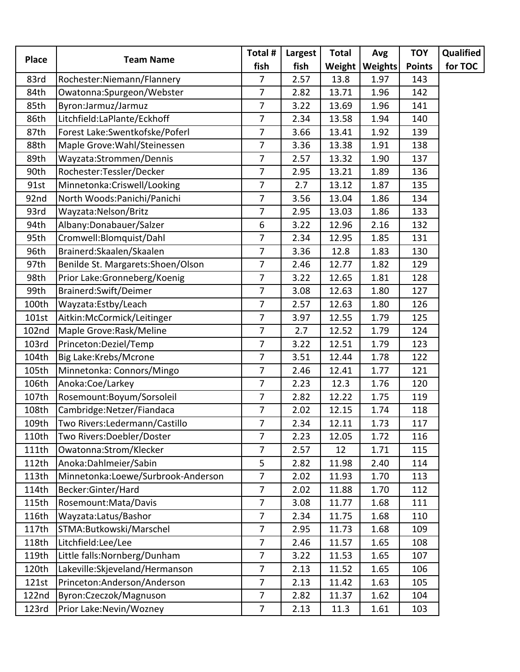| <b>Place</b> | <b>Team Name</b>                   | Total #        | Largest | <b>Total</b> | Avg            | <b>TOY</b>    | Qualified |
|--------------|------------------------------------|----------------|---------|--------------|----------------|---------------|-----------|
|              |                                    | fish           | fish    | Weight       | <b>Weights</b> | <b>Points</b> | for TOC   |
| 83rd         | Rochester: Niemann/Flannery        | $\overline{7}$ | 2.57    | 13.8         | 1.97           | 143           |           |
| 84th         | Owatonna:Spurgeon/Webster          | $\overline{7}$ | 2.82    | 13.71        | 1.96           | 142           |           |
| 85th         | Byron:Jarmuz/Jarmuz                | $\overline{7}$ | 3.22    | 13.69        | 1.96           | 141           |           |
| 86th         | Litchfield:LaPlante/Eckhoff        | $\overline{7}$ | 2.34    | 13.58        | 1.94           | 140           |           |
| 87th         | Forest Lake: Swentkofske/Poferl    | $\overline{7}$ | 3.66    | 13.41        | 1.92           | 139           |           |
| 88th         | Maple Grove: Wahl/Steinessen       | $\overline{7}$ | 3.36    | 13.38        | 1.91           | 138           |           |
| 89th         | Wayzata:Strommen/Dennis            | 7              | 2.57    | 13.32        | 1.90           | 137           |           |
| 90th         | Rochester:Tessler/Decker           | $\overline{7}$ | 2.95    | 13.21        | 1.89           | 136           |           |
| 91st         | Minnetonka:Criswell/Looking        | $\overline{7}$ | 2.7     | 13.12        | 1.87           | 135           |           |
| 92nd         | North Woods: Panichi/Panichi       | $\overline{7}$ | 3.56    | 13.04        | 1.86           | 134           |           |
| 93rd         | Wayzata: Nelson/Britz              | $\overline{7}$ | 2.95    | 13.03        | 1.86           | 133           |           |
| 94th         | Albany:Donabauer/Salzer            | 6              | 3.22    | 12.96        | 2.16           | 132           |           |
| 95th         | Cromwell: Blomquist/Dahl           | $\overline{7}$ | 2.34    | 12.95        | 1.85           | 131           |           |
| 96th         | Brainerd: Skaalen/Skaalen          | $\overline{7}$ | 3.36    | 12.8         | 1.83           | 130           |           |
| 97th         | Benilde St. Margarets: Shoen/Olson | $\overline{7}$ | 2.46    | 12.77        | 1.82           | 129           |           |
| 98th         | Prior Lake:Gronneberg/Koenig       | $\overline{7}$ | 3.22    | 12.65        | 1.81           | 128           |           |
| 99th         | Brainerd:Swift/Deimer              | $\overline{7}$ | 3.08    | 12.63        | 1.80           | 127           |           |
| 100th        | Wayzata:Estby/Leach                | $\overline{7}$ | 2.57    | 12.63        | 1.80           | 126           |           |
| 101st        | Aitkin:McCormick/Leitinger         | $\overline{7}$ | 3.97    | 12.55        | 1.79           | 125           |           |
| 102nd        | Maple Grove: Rask/Meline           | $\overline{7}$ | 2.7     | 12.52        | 1.79           | 124           |           |
| 103rd        | Princeton:Deziel/Temp              | $\overline{7}$ | 3.22    | 12.51        | 1.79           | 123           |           |
| 104th        | Big Lake:Krebs/Mcrone              | $\overline{7}$ | 3.51    | 12.44        | 1.78           | 122           |           |
| 105th        | Minnetonka: Connors/Mingo          | $\overline{7}$ | 2.46    | 12.41        | 1.77           | 121           |           |
| 106th        | Anoka:Coe/Larkey                   | $\overline{7}$ | 2.23    | 12.3         | 1.76           | 120           |           |
| 107th        | Rosemount:Boyum/Sorsoleil          | $\overline{7}$ | 2.82    | 12.22        | 1.75           | 119           |           |
| 108th        | Cambridge: Netzer/Fiandaca         | 7              | 2.02    | 12.15        | 1.74           | 118           |           |
| 109th        | Two Rivers: Ledermann/Castillo     | $\overline{7}$ | 2.34    | 12.11        | 1.73           | 117           |           |
| 110th        | Two Rivers: Doebler/Doster         | $\overline{7}$ | 2.23    | 12.05        | 1.72           | 116           |           |
| 111th        | Owatonna:Strom/Klecker             | $\overline{7}$ | 2.57    | 12           | 1.71           | 115           |           |
| 112th        | Anoka:Dahlmeier/Sabin              | 5              | 2.82    | 11.98        | 2.40           | 114           |           |
| 113th        | Minnetonka:Loewe/Surbrook-Anderson | $\overline{7}$ | 2.02    | 11.93        | 1.70           | 113           |           |
| 114th        | Becker:Ginter/Hard                 | $\overline{7}$ | 2.02    | 11.88        | 1.70           | 112           |           |
| 115th        | Rosemount: Mata/Davis              | $\overline{7}$ | 3.08    | 11.77        | 1.68           | 111           |           |
| 116th        | Wayzata:Latus/Bashor               | $\overline{7}$ | 2.34    | 11.75        | 1.68           | 110           |           |
| 117th        | STMA:Butkowski/Marschel            | $\overline{7}$ | 2.95    | 11.73        | 1.68           | 109           |           |
| 118th        | Litchfield:Lee/Lee                 | $\overline{7}$ | 2.46    | 11.57        | 1.65           | 108           |           |
| 119th        | Little falls: Nornberg/Dunham      | $\overline{7}$ | 3.22    | 11.53        | 1.65           | 107           |           |
| 120th        | Lakeville:Skjeveland/Hermanson     | $\overline{7}$ | 2.13    | 11.52        | 1.65           | 106           |           |
| 121st        | Princeton:Anderson/Anderson        | $\overline{7}$ | 2.13    | 11.42        | 1.63           | 105           |           |
| 122nd        | Byron:Czeczok/Magnuson             | $\overline{7}$ | 2.82    | 11.37        | 1.62           | 104           |           |
| 123rd        | Prior Lake: Nevin/Wozney           | 7              | 2.13    | 11.3         | 1.61           | 103           |           |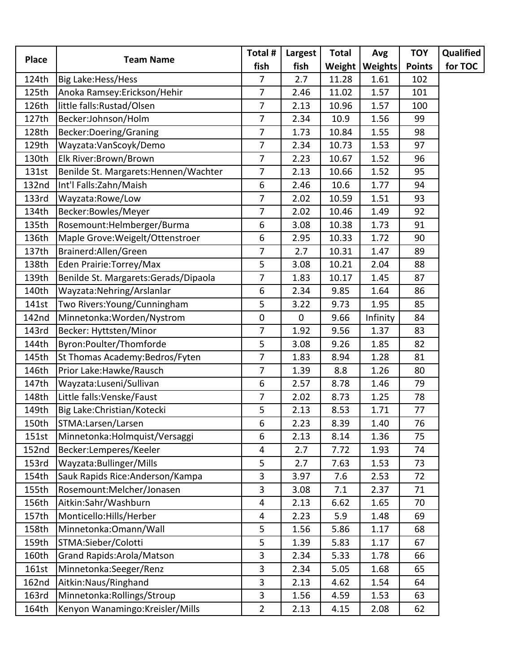| <b>Place</b> | <b>Team Name</b>                      | Total #        | Largest | <b>Total</b> | Avg      | <b>TOY</b>    | Qualified |
|--------------|---------------------------------------|----------------|---------|--------------|----------|---------------|-----------|
|              |                                       | fish           | fish    | Weight       | Weights  | <b>Points</b> | for TOC   |
| 124th        | Big Lake: Hess/Hess                   | 7              | 2.7     | 11.28        | 1.61     | 102           |           |
| 125th        | Anoka Ramsey: Erickson/Hehir          | 7              | 2.46    | 11.02        | 1.57     | 101           |           |
| 126th        | little falls:Rustad/Olsen             | 7              | 2.13    | 10.96        | 1.57     | 100           |           |
| 127th        | Becker:Johnson/Holm                   | 7              | 2.34    | 10.9         | 1.56     | 99            |           |
| 128th        | Becker: Doering/Graning               | 7              | 1.73    | 10.84        | 1.55     | 98            |           |
| 129th        | Wayzata:VanScoyk/Demo                 | 7              | 2.34    | 10.73        | 1.53     | 97            |           |
| 130th        | Elk River:Brown/Brown                 | 7              | 2.23    | 10.67        | 1.52     | 96            |           |
| 131st        | Benilde St. Margarets: Hennen/Wachter | $\overline{7}$ | 2.13    | 10.66        | 1.52     | 95            |           |
| 132nd        | Int'l Falls: Zahn/Maish               | 6              | 2.46    | 10.6         | 1.77     | 94            |           |
| 133rd        | Wayzata:Rowe/Low                      | 7              | 2.02    | 10.59        | 1.51     | 93            |           |
| 134th        | Becker:Bowles/Meyer                   | 7              | 2.02    | 10.46        | 1.49     | 92            |           |
| 135th        | Rosemount:Helmberger/Burma            | 6              | 3.08    | 10.38        | 1.73     | 91            |           |
| 136th        | Maple Grove: Weigelt/Ottenstroer      | 6              | 2.95    | 10.33        | 1.72     | 90            |           |
| 137th        | Brainerd: Allen/Green                 | 7              | 2.7     | 10.31        | 1.47     | 89            |           |
| 138th        | Eden Prairie: Torrey/Max              | 5              | 3.08    | 10.21        | 2.04     | 88            |           |
| 139th        | Benilde St. Margarets: Gerads/Dipaola | 7              | 1.83    | 10.17        | 1.45     | 87            |           |
| 140th        | Wayzata: Nehring/Arslanlar            | 6              | 2.34    | 9.85         | 1.64     | 86            |           |
| 141st        | Two Rivers: Young/Cunningham          | 5              | 3.22    | 9.73         | 1.95     | 85            |           |
| 142nd        | Minnetonka: Worden/Nystrom            | $\mathbf 0$    | 0       | 9.66         | Infinity | 84            |           |
| 143rd        | Becker: Hyttsten/Minor                | 7              | 1.92    | 9.56         | 1.37     | 83            |           |
| 144th        | Byron:Poulter/Thomforde               | 5              | 3.08    | 9.26         | 1.85     | 82            |           |
| 145th        | St Thomas Academy: Bedros/Fyten       | 7              | 1.83    | 8.94         | 1.28     | 81            |           |
| 146th        | Prior Lake: Hawke/Rausch              | 7              | 1.39    | 8.8          | 1.26     | 80            |           |
| 147th        | Wayzata:Luseni/Sullivan               | 6              | 2.57    | 8.78         | 1.46     | 79            |           |
| 148th        | Little falls: Venske/Faust            | 7              | 2.02    | 8.73         | 1.25     | 78            |           |
| 149th        | Big Lake: Christian/Kotecki           | 5              | 2.13    | 8.53         | 1.71     | 77            |           |
| 150th        | STMA:Larsen/Larsen                    | 6              | 2.23    | 8.39         | 1.40     | 76            |           |
| 151st        | Minnetonka: Holmquist/Versaggi        | 6              | 2.13    | 8.14         | 1.36     | 75            |           |
| <b>152nd</b> | Becker:Lemperes/Keeler                | 4              | 2.7     | 7.72         | 1.93     | 74            |           |
| 153rd        | Wayzata: Bullinger/Mills              | 5              | 2.7     | 7.63         | 1.53     | 73            |           |
| 154th        | Sauk Rapids Rice: Anderson/Kampa      | 3              | 3.97    | 7.6          | 2.53     | 72            |           |
| 155th        | Rosemount:Melcher/Jonasen             | 3              | 3.08    | 7.1          | 2.37     | 71            |           |
| 156th        | Aitkin:Sahr/Washburn                  | 4              | 2.13    | 6.62         | 1.65     | 70            |           |
| 157th        | Monticello: Hills/Herber              | 4              | 2.23    | 5.9          | 1.48     | 69            |           |
| 158th        | Minnetonka: Omann/Wall                | 5              | 1.56    | 5.86         | 1.17     | 68            |           |
| 159th        | STMA:Sieber/Colotti                   | 5              | 1.39    | 5.83         | 1.17     | 67            |           |
| 160th        | Grand Rapids: Arola/Matson            | 3              | 2.34    | 5.33         | 1.78     | 66            |           |
| 161st        | Minnetonka:Seeger/Renz                | 3              | 2.34    | 5.05         | 1.68     | 65            |           |
| <b>162nd</b> | Aitkin: Naus/Ringhand                 | 3              | 2.13    | 4.62         | 1.54     | 64            |           |
| 163rd        | Minnetonka: Rollings/Stroup           | 3              | 1.56    | 4.59         | 1.53     | 63            |           |
| 164th        | Kenyon Wanamingo:Kreisler/Mills       | $\overline{2}$ | 2.13    | 4.15         | 2.08     | 62            |           |